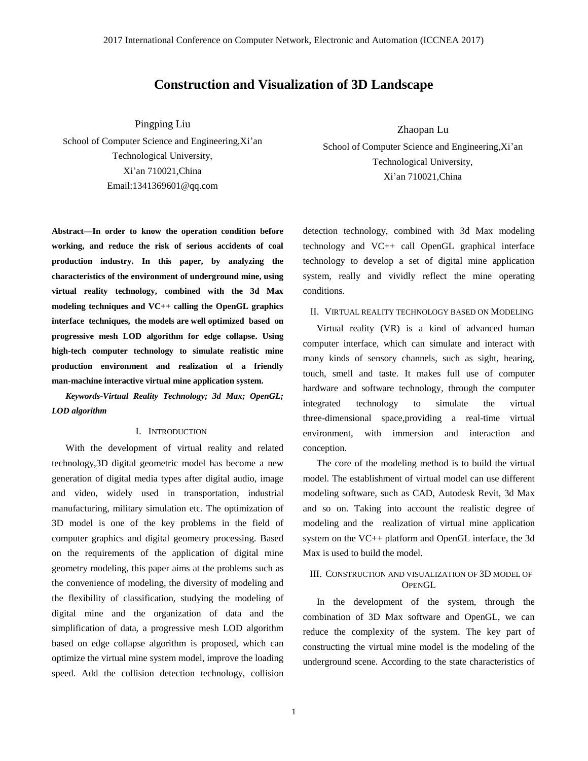# **Construction and Visualization of 3D Landscape**

Pingping Liu

School of Computer Science and Engineering,Xi'an Technological University, Xi'an 710021,China Email:1341369601@qq.com

**Abstract—In order to [know](http://fanyi.baidu.com/#zh/en/_blank) the operation condition before working, and reduce the risk of serious accidents of coal production industry. In this paper, by analyzing the characteristics of the environment of underground mine, using virtual reality technology, combined with the 3d Max modeling techniques and VC++ calling the OpenGL graphics interface techniques, the models are well optimized based on progressive mesh LOD algorithm for edge collapse. Using high-tech computer technology to simulate realistic mine production environment and realization of a friendly man-machine interactive virtual mine application system.** 

*Keywords-Virtual Reality Technology; 3d Max; OpenGL; LOD algorithm*

### I. INTRODUCTION

With the development of virtual reality and related technology,3D digital geometric model has become a new generation of digital media types after digital audio, image and video, widely used in transportation, industrial manufacturing, military simulation etc. The optimization of 3D model is one of the key problems in the field of computer graphics and digital geometry processing. Based on the requirements of the application of digital mine geometry modeling, this paper aims at the problems such as the convenience of modeling, the diversity of modeling and the flexibility of classification, studying the modeling of digital mine and the organization of data and the simplification of data, a progressive mesh LOD algorithm based on edge collapse algorithm is proposed, which can optimize the virtual mine system model, improve the loading speed. [Add](http://fanyi.baidu.com/#zh/en/_blank) the collision detection technology, collision Zhaopan Lu

School of Computer Science and Engineering,Xi'an Technological University, Xi'an 710021,China

detection technology, combined with 3d Max modeling technology and VC++ call OpenGL graphical interface technology to develop a set of digital mine application system, really and vividly reflect the mine operating conditions.

### II. VIRTUAL REALITY TECHNOLOGY BASED ON MODELING

Virtual reality (VR) is a kind of advanced human computer interface, which can simulate and interact with many kinds of sensory channels, such as sight, hearing, touch, smell and taste. It makes full use of computer hardware and software technology, through the computer integrated technology to simulate the virtual three-dimensional space,providing a real-time virtual environment, with immersion and interaction and conception.

The core of the modeling method is to build the virtual model. The establishment of virtual model can use different modeling software, such as CAD, Autodesk Revit, 3d Max and so on. Taking into account the realistic degree of modeling and the realization of virtual mine application system on the VC++ platform and OpenGL interface, the 3d Max is used to build the model.

### III. CONSTRUCTION AND VISUALIZATION OF 3D MODEL OF **OPENGL**

In the development of the system, through the combination of 3D Max software and OpenGL, we can reduce the complexity of the system. The key part of constructing the virtual mine model is the modeling of the underground scene. According to the state characteristics of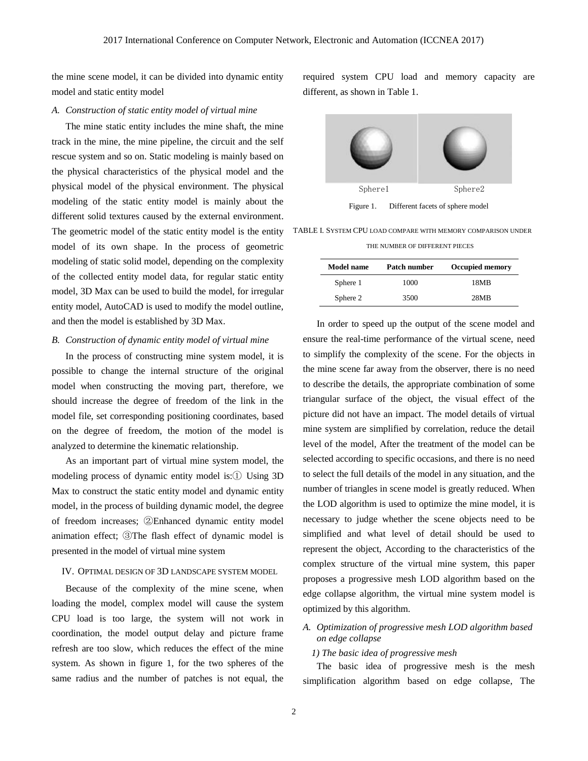the mine scene model, it can be divided into dynamic entity model and static entity model

#### *A. Construction of static entity model of virtual mine*

The mine static entity includes the mine shaft, the mine track in the mine, the mine pipeline, the circuit and the self rescue system and so on. Static modeling is mainly based on the physical characteristics of the physical model and the physical model of the physical environment. The physical modeling of the static entity model is mainly about the different solid textures caused by the external environment. The geometric model of the static entity model is the entity model of its own shape. In the process of geometric modeling of static solid model, depending on the complexity of the collected entity model data, for regular static entity model, 3D Max can be used to build the model, for irregular entity model, AutoCAD is used to modify the model outline, and then the model is established by 3D Max.

### *B. Construction of dynamic entity model of virtual mine*

In the process of constructing mine system model, it is possible to change the internal structure of the original model when constructing the moving part, therefore, we should increase the degree of freedom of the link in the model file, set corresponding positioning coordinates, based on the degree of freedom, the motion of the model is analyzed to determine the kinematic relationship.

As an important part of virtual mine system model, the modeling process of dynamic entity model is:① Using 3D Max to construct the static entity model and dynamic entity model, in the process of building dynamic model, the degree of freedom increases; ②Enhanced dynamic entity model animation effect; ③The flash effect of dynamic model is presented in the model of virtual mine system

### IV. OPTIMAL DESIGN OF 3D LANDSCAPE SYSTEM MODEL

Because of the complexity of the mine scene, when loading the model, complex model will cause the system CPU load is too large, the system will not work in coordination, the model output delay and picture frame refresh are too slow, which reduces the effect of the mine system. As shown in figure 1, for the two spheres of the same radius and the number of patches is not equal, the

required system CPU load and memory capacity are different, as shown in Table 1.



Figure 1. Different facets of sphere model

TABLE I. SYSTEM CPU LOAD COMPARE WITH MEMORY COMPARISON UNDER

THE NUMBER OF DIFFERENT PIECES

| <b>Model name</b> | Patch number | <b>Occupied memory</b> |
|-------------------|--------------|------------------------|
| Sphere 1          | 1000         | 18MB                   |
| Sphere 2          | 3500         | 28MB                   |

In order to speed up the output of the scene model and ensure the real-time performance of the virtual scene, need to simplify the complexity of the scene. For the objects in the mine scene far away from the observer, there is no need to describe the details, the appropriate combination of some triangular surface of the object, the visual effect of the picture did not have an impact. The model details of virtual mine system are simplified by correlation, reduce the detail level of the model, After the treatment of the model can be selected according to specific occasions, and there is no need to select the full details of the model in any situation, and the number of triangles in scene model is greatly reduced. When the LOD algorithm is used to optimize the mine model, it is necessary to judge whether the scene objects need to be simplified and what level of detail should be used to represent the object, According to the characteristics of the complex structure of the virtual mine system, this paper proposes a progressive mesh LOD algorithm based on the edge collapse algorithm, the virtual mine system model is optimized by this algorithm.

*A. Optimization of progressive mesh LOD algorithm based on edge collapse*

### *1) The basic idea of progressive mesh*

The basic idea of progressive mesh is the mesh simplification algorithm based on edge collapse, The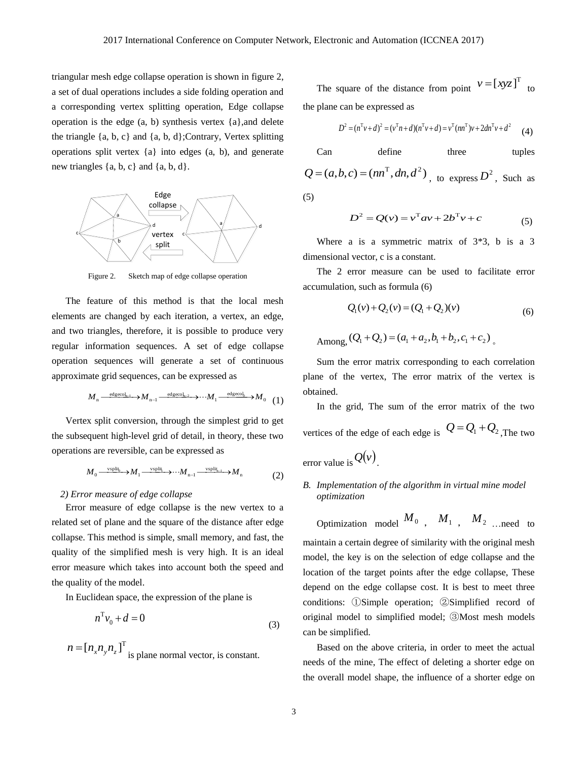$\overline{6}$ 

triangular mesh edge collapse operation is shown in figure 2, a set of dual operations includes a side folding operation and a corresponding vertex splitting operation, Edge collapse operation is the edge (a, b) synthesis vertex {a},and delete the triangle  $\{a, b, c\}$  and  $\{a, b, d\}$ ; Contrary, Vertex splitting operations split vertex {a} into edges (a, b), and generate new triangles  $\{a, b, c\}$  and  $\{a, b, d\}$ .



Figure 2. Sketch map of edge collapse operation

The feature of this method is that the local mesh elements are changed by each iteration, a vertex, an edge, and two triangles, therefore, it is possible to produce very regular information sequences. A set of edge collapse operation sequences will generate a set of continuous approximate grid sequences, can be expressed as

$$
M_{n} \xrightarrow{\text{edgecol}_{n-1}} M_{n-1} \xrightarrow{\text{edgecol}_{n-2}} \cdots M_{1} \xrightarrow{\text{edgecol}_{n}} M_{0} \tag{1}
$$

Vertex split conversion, through the simplest grid to get the subsequent high-level grid of detail, in theory, these two operations are reversible, can be expressed as

$$
M_0 \xrightarrow{\text{vsplit}} M_1 \xrightarrow{\text{vsplit}} \cdots M_{n-1} \xrightarrow{\text{vsplit}_{n-1}} M_n \tag{2}
$$

#### *2) Error measure of edge collapse*

Error measure of edge collapse is the new vertex to a related set of plane and the square of the distance after edge collapse. This method is simple, small memory, and fast, the quality of the simplified mesh is very high. It is an ideal error measure which takes into account both the speed and the quality of the model.

In Euclidean space, the expression of the plane is

$$
n^{\mathrm{T}}v_0 + d = 0\tag{3}
$$

$$
n = [n_x n_y n_z]^{\text{T}}
$$
 is plane normal vector, is constant.

The square of the distance from point  $v = [xyz]^T$  to the plane can be expressed as

$$
D^{2} = (n^{T}v + d)^{2} = (v^{T}n + d)(n^{T}v + d) = v^{T}(nn^{T})v + 2dn^{T}v + d^{2}
$$
 (4)

Can define three tuples  
\n
$$
Q = (a,b,c) = (nn^T, dn, d^2)
$$
, to express  $D^2$ , Such as  
\n(5)

$$
D^{2} = Q(v) = v^{T}av + 2b^{T}v + c
$$
 (5)

Where a is a symmetric matrix of 3\*3, b is a 3 dimensional vector, c is a constant.

The 2 error measure can be used to facilitate error accumulation, such as formula (6)

$$
Q_1(v) + Q_2(v) = (Q_1 + Q_2)(v)
$$
  
Among,  $(Q_1 + Q_2) = (a_1 + a_2, b_1 + b_2, c_1 + c_2)$  (6)

Sum the error matrix corresponding to each correlation plane of the vertex, The error matrix of the vertex is obtained.

In the grid, The sum of the error matrix of the two vertices of the edge of each edge is  $Q = Q_1 + Q_2$ , The two error value is  $Q(v)$ .

## *B. Implementation of the algorithm in virtual mine model optimization*

Optimization model  $M_0$ ,  $M_1$ ,  $M_2$  …need to

maintain a certain degree of similarity with the original mesh model, the key is on the selection of edge collapse and the location of the target points after the edge collapse, These depend on the edge collapse cost. It is best to meet three conditions: ①Simple operation; ②Simplified record of original model to simplified model; ③Most mesh models can be simplified.

Based on the above criteria, in order to meet the actual needs of the mine, The effect of deleting a shorter edge on the overall model shape, the influence of a shorter edge on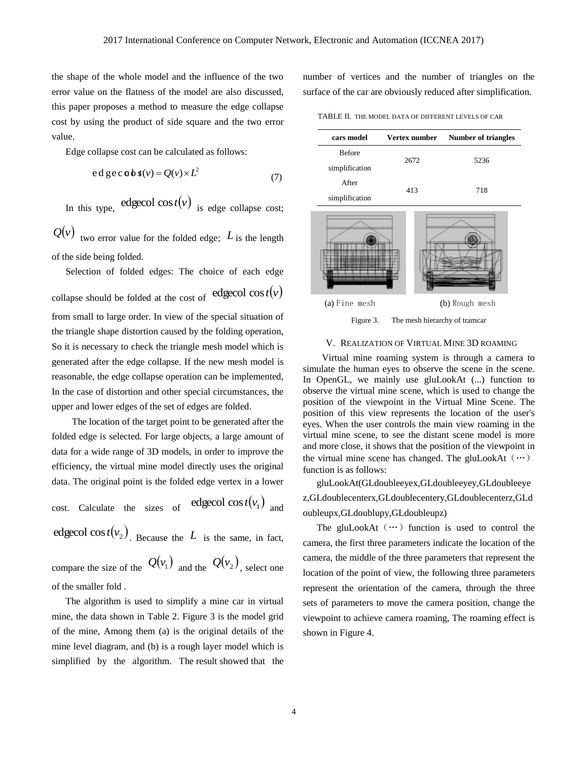the shape of the whole model and the influence of the two error value on the flatness of the model are also discussed, this paper proposes a method to measure the edge collapse cost by using the product of side square and the two error value.

Edge collapse cost can be calculated as follows:

$$
ed\,ge\,c\,o\,b\,s(v) = Q(v) \times L^2\tag{7}
$$

In this type, edgecol  $cos t(v)$  is edge collapse cost;

 $Q(v)$  two error value for the folded edge; L is the length of the side being folded.

Selection of folded edges: The choice of each edge collapse should be folded at the cost of  $\text{edgecol cost}(v)$ from small to large order. In view of the special situation of the triangle shape distortion caused by the folding operation, So it is necessary to check the triangle mesh model which is generated after the edge collapse. If the new mesh model is reasonable, the edge collapse operation can be implemented, In the case of distortion and other special circumstances, the upper and lower edges of the set of edges are folded.

The location of the target point to be generated after the folded edge is selected. For large objects, a large amount of data for a wide range of 3D models, in order to improve the efficiency, the virtual mine model directly uses the original data. The original point is the folded edge vertex in a lower

cost. Calculate the sizes of edgecol  $cos t(v_1)$  and edgecol cos  $t(v_2)$ . Because the L is the same, in fact, compare the size of the  $Q(v_1)$  and the  $Q(v_2)$ , select one

of the smaller fold .

The algorithm is used to simplify a mine car in virtual mine, the data shown in Table 2. Figure 3 is the model grid of the mine, Among them (a) is the original details of the mine level diagram, and (b) is a rough layer model which is simplified by the algorithm. The result showed that the

number of vertices and the number of triangles on the surface of the car are obviously reduced after simplification.

TABLE II. THE MODEL DATA OF DIFFERENT LEVELS OF CAR

| cars model     | Vertex number | <b>Number of triangles</b> |
|----------------|---------------|----------------------------|
| <b>Before</b>  | 2672          | 5236                       |
| simplification |               |                            |
| After          | 413           | 718                        |
| simplification |               |                            |
|                |               |                            |

(a) Fine mesh (b) Rough mesh

Figure 3. The mesh hierarchy of tramcar

### V. REALIZATION OF VIRTUAL MINE 3D ROAMING

Virtual mine roaming system is through a camera to simulate the human eyes to observe the scene in the scene. In OpenGL, we mainly use gluLookAt (...) function to observe the virtual mine scene, which is used to change the position of the viewpoint in the Virtual Mine Scene. The position of this view represents the location of the user's eyes. When the user controls the main view roaming in the virtual mine scene, to see the distant scene model is more and more close, it shows that the position of the viewpoint in the virtual mine scene has changed. The gluLookAt  $(\cdots)$ function is as follows:

gluLookAt(GLdoubleeyex,GLdoubleeyey,GLdoubleeye z,GLdoublecenterx,GLdoublecentery,GLdoublecenterz,GLd oubleupx,GLdoublupy,GLdoubleupz)

The gluLookAt  $(\cdots)$  function is used to control the camera, the first three parameters indicate the location of the camera, the middle of the three parameters that represent the location of the point of view, the following three parameters represent the orientation of the camera, through the three sets of parameters to move the camera position, change the viewpoint to achieve camera roaming, The roaming effect is shown in Figure 4.